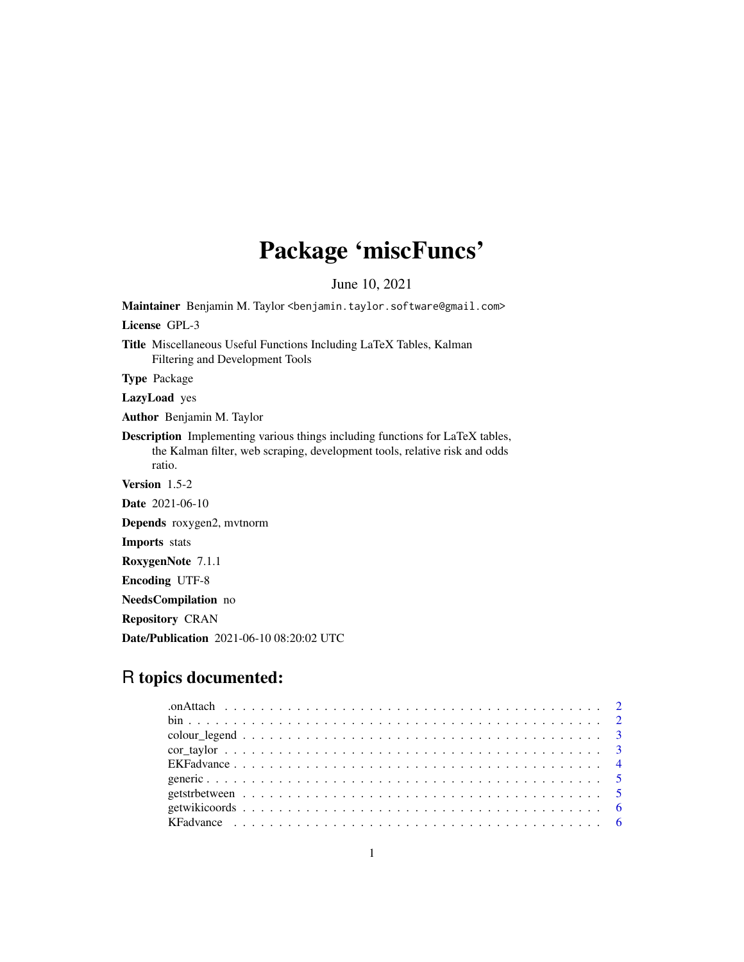# Package 'miscFuncs'

June 10, 2021

Maintainer Benjamin M. Taylor <benjamin.taylor.software@gmail.com> License GPL-3 Title Miscellaneous Useful Functions Including LaTeX Tables, Kalman Filtering and Development Tools Type Package

LazyLoad yes

Author Benjamin M. Taylor

Description Implementing various things including functions for LaTeX tables, the Kalman filter, web scraping, development tools, relative risk and odds ratio.

Version 1.5-2

Date 2021-06-10

Depends roxygen2, mvtnorm

Imports stats

RoxygenNote 7.1.1

Encoding UTF-8

NeedsCompilation no

Repository CRAN

Date/Publication 2021-06-10 08:20:02 UTC

# R topics documented: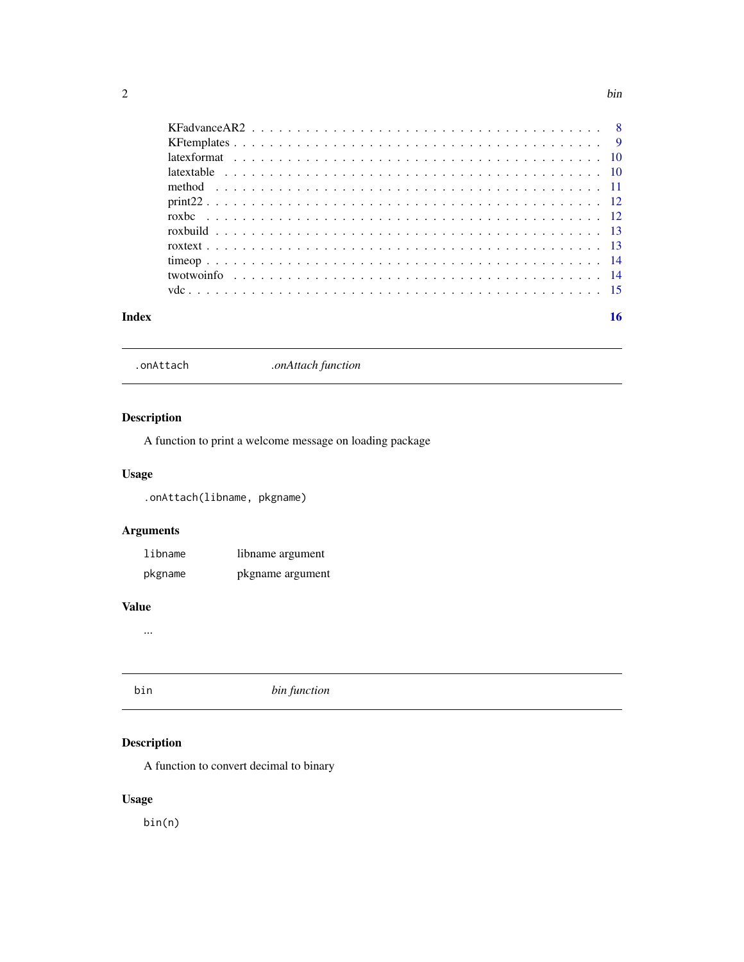<span id="page-1-0"></span>

| Index |  |  |  |  |
|-------|--|--|--|--|

.onAttach *.onAttach function*

# Description

A function to print a welcome message on loading package

# Usage

.onAttach(libname, pkgname)

# Arguments

| libname | libname argument |
|---------|------------------|
| pkgname | pkgname argument |

#### Value

...

| bin | bin function |
|-----|--------------|
|     |              |

# Description

A function to convert decimal to binary

# Usage

bin(n)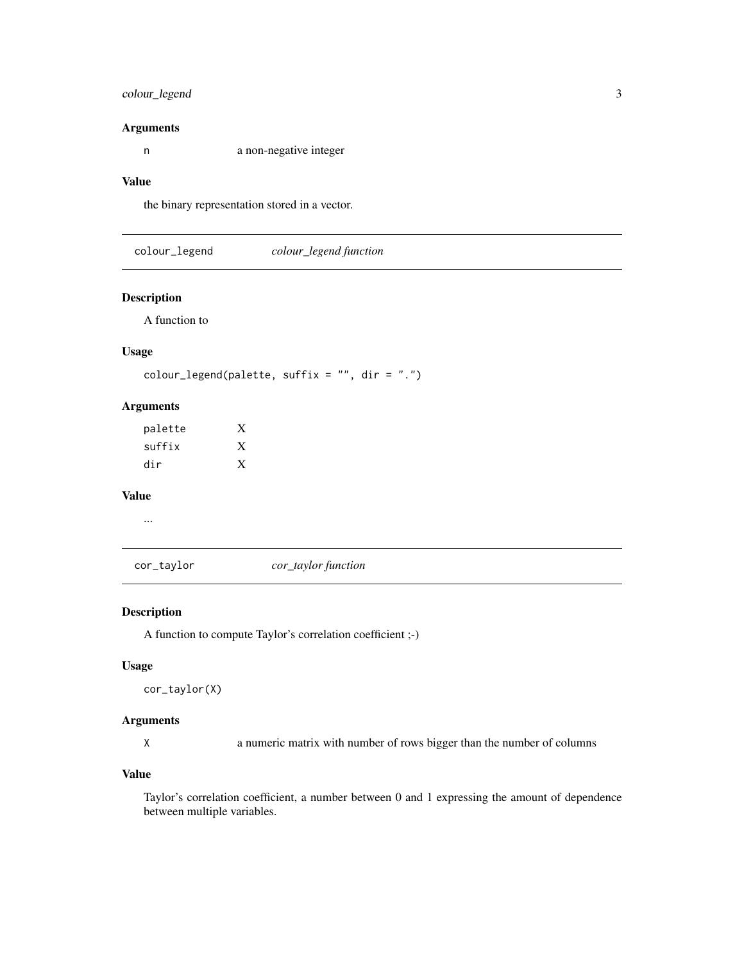# <span id="page-2-0"></span>colour\_legend 3

#### Arguments

n a non-negative integer

#### Value

the binary representation stored in a vector.

colour\_legend *colour\_legend function*

#### Description

A function to

#### Usage

```
colour_legend(palette, suffix = ", dir = ".")
```
#### Arguments

| palette | X |
|---------|---|
| suffix  | X |
| dir     | X |

# Value

...

cor\_taylor *cor\_taylor function*

#### Description

A function to compute Taylor's correlation coefficient ;-)

#### Usage

```
cor_taylor(X)
```
#### Arguments

X a numeric matrix with number of rows bigger than the number of columns

#### Value

Taylor's correlation coefficient, a number between 0 and 1 expressing the amount of dependence between multiple variables.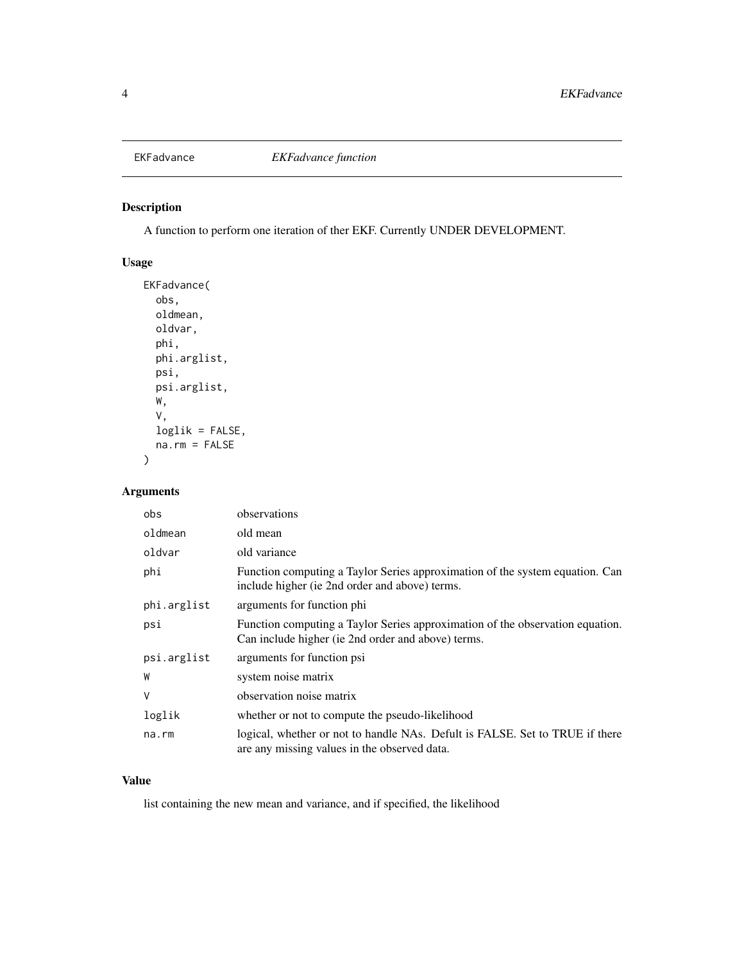<span id="page-3-0"></span>

A function to perform one iteration of ther EKF. Currently UNDER DEVELOPMENT.

# Usage

```
EKFadvance(
  obs,
 oldmean,
 oldvar,
 phi,
 phi.arglist,
 psi,
 psi.arglist,
 W,
 V,
 loglik = FALSE,
 na.rm = FALSE
)
```
# Arguments

| obs         | observations                                                                                                                        |
|-------------|-------------------------------------------------------------------------------------------------------------------------------------|
| oldmean     | old mean                                                                                                                            |
| oldvar      | old variance                                                                                                                        |
| phi         | Function computing a Taylor Series approximation of the system equation. Can<br>include higher (ie 2nd order and above) terms.      |
| phi.arglist | arguments for function phi                                                                                                          |
| psi         | Function computing a Taylor Series approximation of the observation equation.<br>Can include higher (ie 2nd order and above) terms. |
| psi.arglist | arguments for function psi                                                                                                          |
| W           | system noise matrix                                                                                                                 |
| V           | observation noise matrix                                                                                                            |
| loglik      | whether or not to compute the pseudo-likelihood                                                                                     |
| $na$ . $rm$ | logical, whether or not to handle NAs. Defult is FALSE. Set to TRUE if there<br>are any missing values in the observed data.        |

# Value

list containing the new mean and variance, and if specified, the likelihood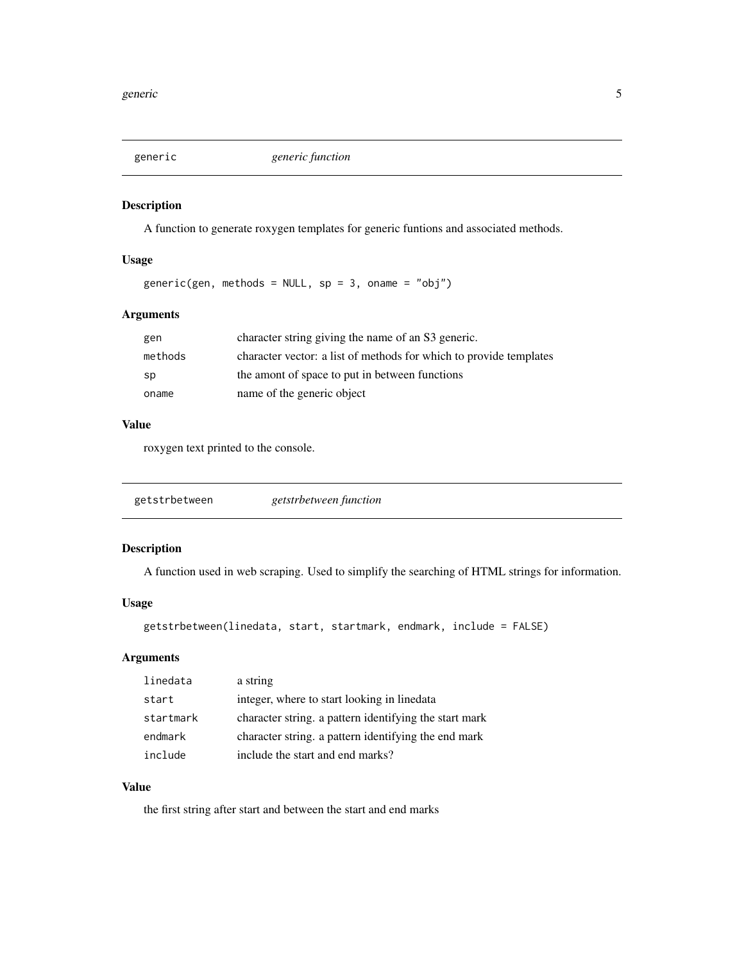<span id="page-4-0"></span>

A function to generate roxygen templates for generic funtions and associated methods.

# Usage

generic(gen, methods = NULL,  $sp = 3$ , oname = "obj")

# Arguments

| gen     | character string giving the name of an S3 generic.                 |
|---------|--------------------------------------------------------------------|
| methods | character vector: a list of methods for which to provide templates |
| sp      | the amont of space to put in between functions                     |
| oname   | name of the generic object                                         |

# Value

roxygen text printed to the console.

| getstrbetween | getstrbetween function |  |
|---------------|------------------------|--|
|---------------|------------------------|--|

# Description

A function used in web scraping. Used to simplify the searching of HTML strings for information.

#### Usage

```
getstrbetween(linedata, start, startmark, endmark, include = FALSE)
```
# Arguments

| linedata  | a string                                               |
|-----------|--------------------------------------------------------|
| start     | integer, where to start looking in linedata            |
| startmark | character string. a pattern identifying the start mark |
| endmark   | character string. a pattern identifying the end mark   |
| include   | include the start and end marks?                       |

# Value

the first string after start and between the start and end marks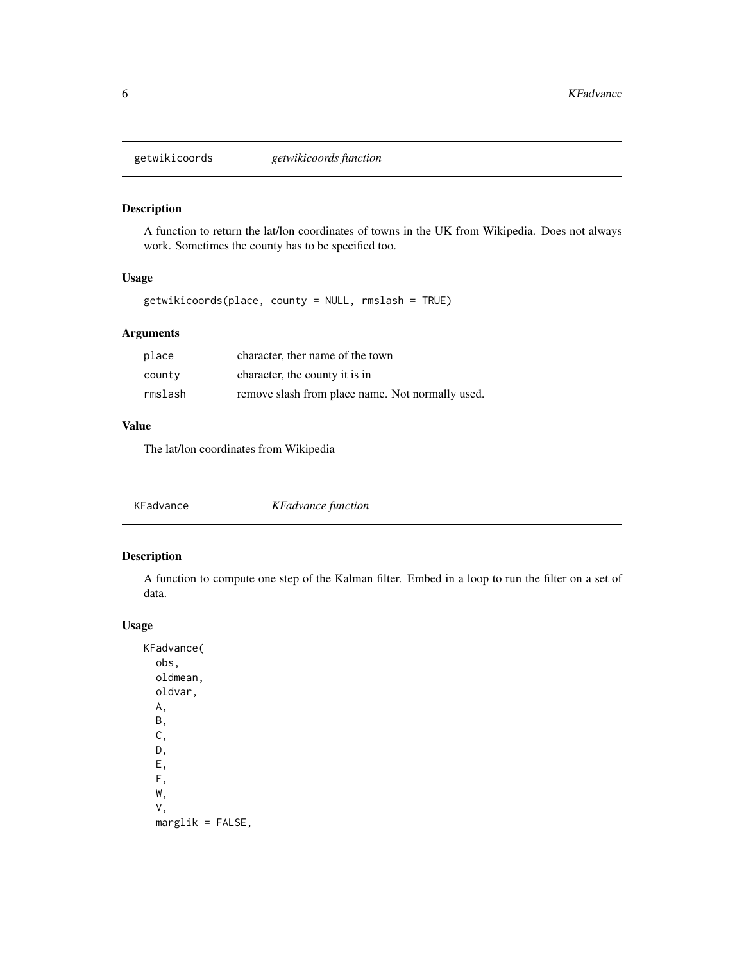<span id="page-5-0"></span>

A function to return the lat/lon coordinates of towns in the UK from Wikipedia. Does not always work. Sometimes the county has to be specified too.

# Usage

getwikicoords(place, county = NULL, rmslash = TRUE)

# Arguments

| place   | character, ther name of the town                 |
|---------|--------------------------------------------------|
| county  | character, the county it is in                   |
| rmslash | remove slash from place name. Not normally used. |

#### Value

The lat/lon coordinates from Wikipedia

| KFadvance | KFadvance function |  |
|-----------|--------------------|--|
|-----------|--------------------|--|

# Description

A function to compute one step of the Kalman filter. Embed in a loop to run the filter on a set of data.

# Usage

KFadvance( obs, oldmean, oldvar, A, B, C, D, E, F, W, V,  $marglik = FALSE,$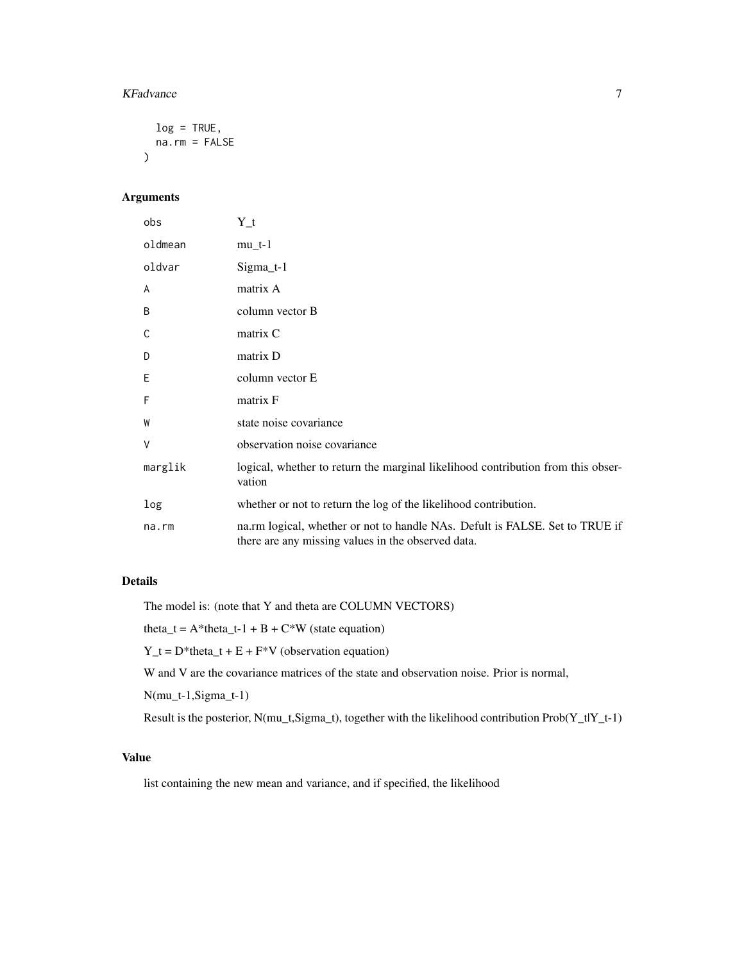#### KFadvance 7 and 7 and 7 and 7 and 7 and 7 and 7 and 7 and 7 and 7 and 7 and 7 and 7 and 7 and 7 and 7 and 7 and 7 and 7 and 7 and 7 and 7 and 7 and 7 and 7 and 7 and 7 and 7 and 7 and 7 and 7 and 7 and 7 and 7 and 7 and 7

```
log = TRUE,na.rm = FALSE
\lambda
```
# Arguments

| obs     | Y_t                                                                                                                                |
|---------|------------------------------------------------------------------------------------------------------------------------------------|
| oldmean | $mu_t-1$                                                                                                                           |
| oldvar  | $Sigma_t-1$                                                                                                                        |
| A       | matrix A                                                                                                                           |
| B       | column vector B                                                                                                                    |
| C       | matrix C                                                                                                                           |
| D       | matrix D                                                                                                                           |
| E       | column vector E                                                                                                                    |
| F       | matrix F                                                                                                                           |
| W       | state noise covariance                                                                                                             |
| V       | observation noise covariance                                                                                                       |
| marglik | logical, whether to return the marginal likelihood contribution from this obser-<br>vation                                         |
| log     | whether or not to return the log of the likelihood contribution.                                                                   |
| na.rm   | na.rm logical, whether or not to handle NAs. Defult is FALSE. Set to TRUE if<br>there are any missing values in the observed data. |

# Details

The model is: (note that Y and theta are COLUMN VECTORS)

theta\_t =  $A^*$ theta\_t-1 + B +  $C^*W$  (state equation)

 $Y_t = D^*$ theta\_t + E + F<sup>\*</sup>V (observation equation)

W and V are the covariance matrices of the state and observation noise. Prior is normal,

N(mu\_t-1,Sigma\_t-1)

Result is the posterior,  $N(mu_t, Sigma_t)$ , together with the likelihood contribution  $Prob(Y_t|Y_t-1)$ 

#### Value

list containing the new mean and variance, and if specified, the likelihood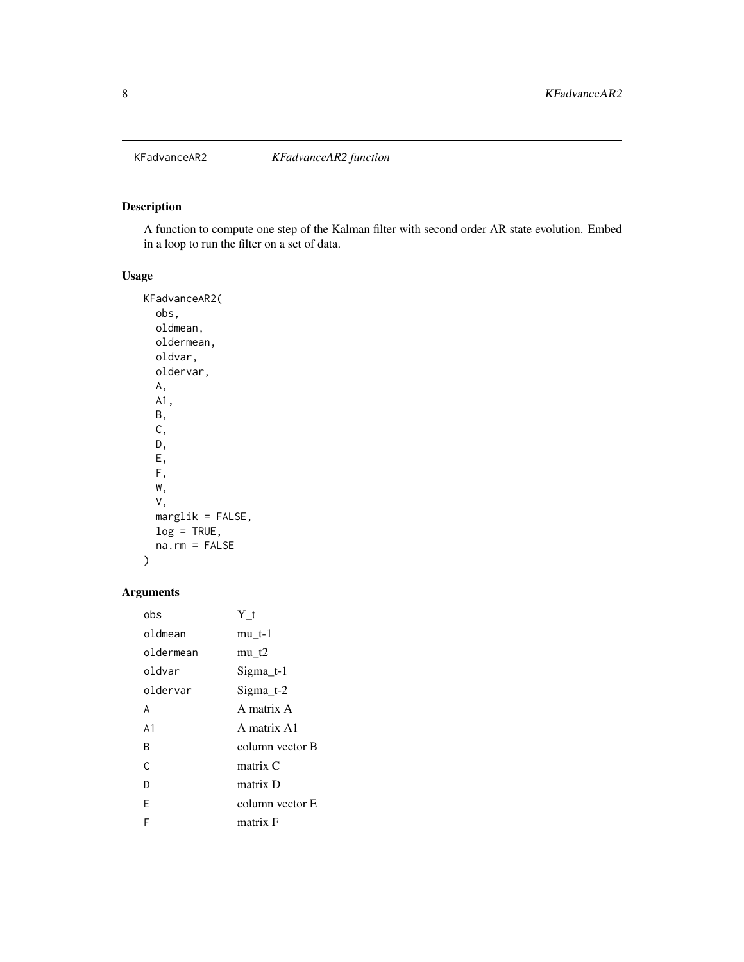<span id="page-7-0"></span>

A function to compute one step of the Kalman filter with second order AR state evolution. Embed in a loop to run the filter on a set of data.

# Usage

KFadvanceAR2( obs, oldmean, oldermean, oldvar, oldervar, A, A1, B, C, D, E, F, W, V, marglik = FALSE,  $log = TRUE,$ na.rm = FALSE )

# Arguments

| obs            | Υt                  |
|----------------|---------------------|
| oldmean        | mu t-1              |
| oldermean      | $mu$ t <sub>2</sub> |
| oldvar         | Sigma t-1           |
| oldervar       | $Sigma_t$ -2        |
| A              | A matrix A          |
| A <sub>1</sub> | A matrix A1         |
| R              | column vector B     |
| $\mathcal{C}$  | matrix C            |
| D              | matrix D            |
| F              | column vector E     |
| F              | matrix F            |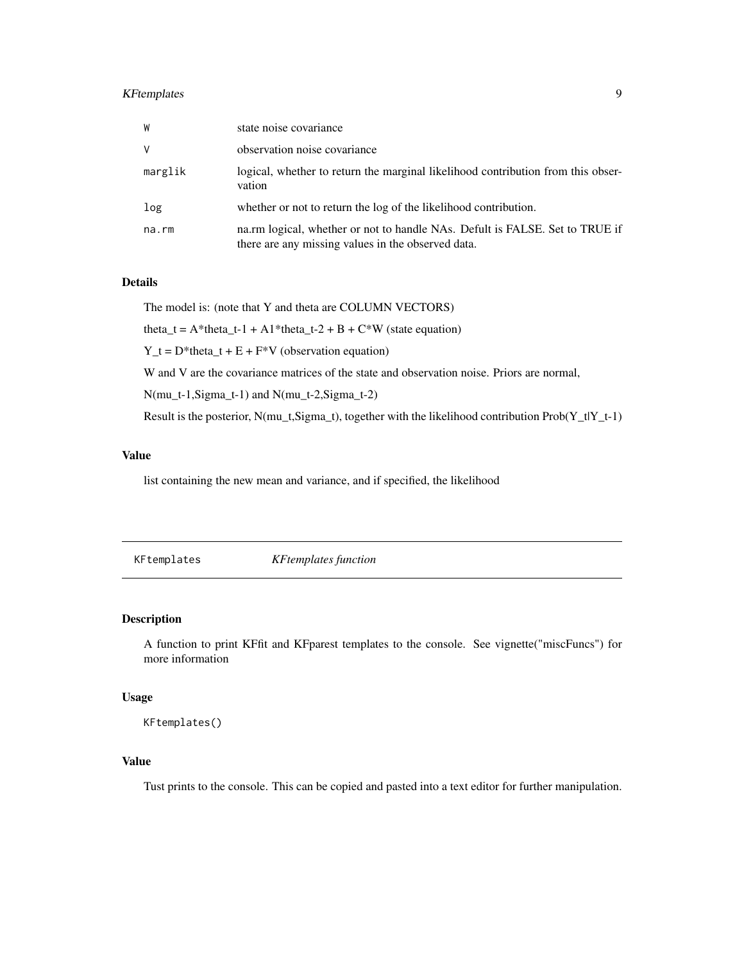# <span id="page-8-0"></span>KFtemplates 9

| W       | state noise covariance                                                                                                             |
|---------|------------------------------------------------------------------------------------------------------------------------------------|
| V       | observation noise covariance                                                                                                       |
| marglik | logical, whether to return the marginal likelihood contribution from this obser-<br>vation                                         |
| log     | whether or not to return the log of the likelihood contribution.                                                                   |
| na.rm   | na.rm logical, whether or not to handle NAs. Defult is FALSE. Set to TRUE if<br>there are any missing values in the observed data. |

#### Details

The model is: (note that Y and theta are COLUMN VECTORS)

theta\_t =  $A^*$ theta\_t-1 +  $A1^*$ theta\_t-2 + B +  $C^*W$  (state equation)

 $Y_t = D^*$ theta\_t + E + F<sup>\*</sup>V (observation equation)

W and V are the covariance matrices of the state and observation noise. Priors are normal,

N(mu\_t-1,Sigma\_t-1) and N(mu\_t-2,Sigma\_t-2)

Result is the posterior, N(mu\_t,Sigma\_t), together with the likelihood contribution Prob(Y\_t|Y\_t-1)

#### Value

list containing the new mean and variance, and if specified, the likelihood

KFtemplates *KFtemplates function*

#### Description

A function to print KFfit and KFparest templates to the console. See vignette("miscFuncs") for more information

#### Usage

KFtemplates()

# Value

Tust prints to the console. This can be copied and pasted into a text editor for further manipulation.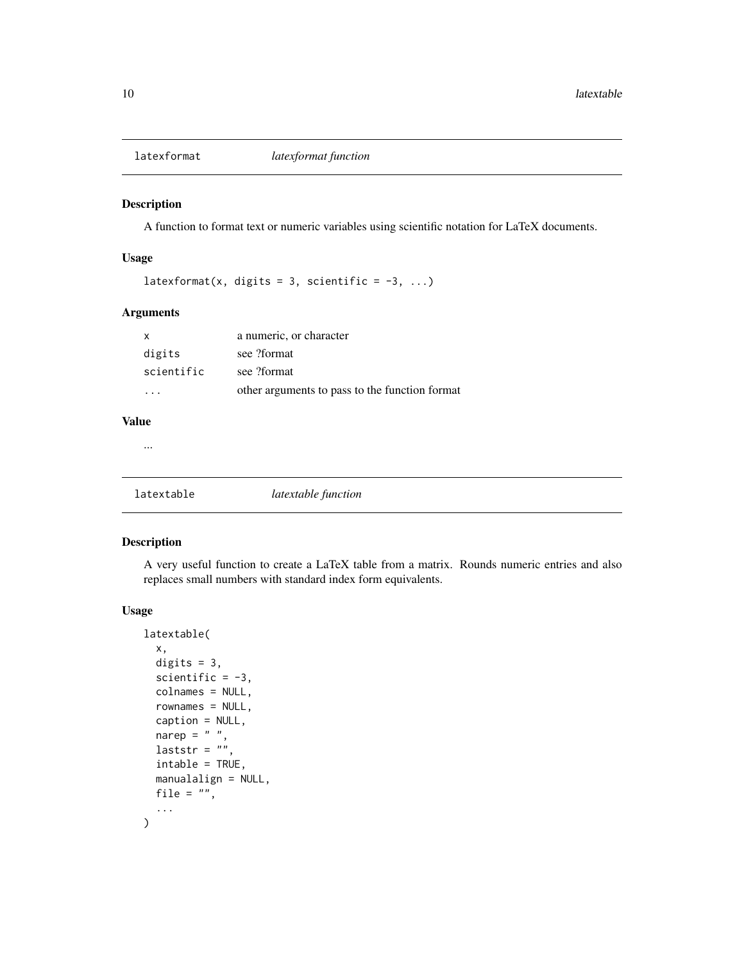<span id="page-9-0"></span>

A function to format text or numeric variables using scientific notation for LaTeX documents.

#### Usage

latexformat(x, digits = 3, scientific =  $-3$ , ...)

# Arguments

| $\mathsf{X}$ | a numeric, or character                        |
|--------------|------------------------------------------------|
| digits       | see ?format                                    |
| scientific   | see ?format                                    |
| .            | other arguments to pass to the function format |

# Value

...

latextable *latextable function*

#### Description

A very useful function to create a LaTeX table from a matrix. Rounds numeric entries and also replaces small numbers with standard index form equivalents.

#### Usage

```
latextable(
 x,
  digits = 3,
  scientific = -3,
  colnames = NULL,
  rownames = NULL,
  caption = NULL,
 narep = " "laststr = ",
  intable = TRUE,
 manualalign = NULL,
 file = ",
  ...
\mathcal{L}
```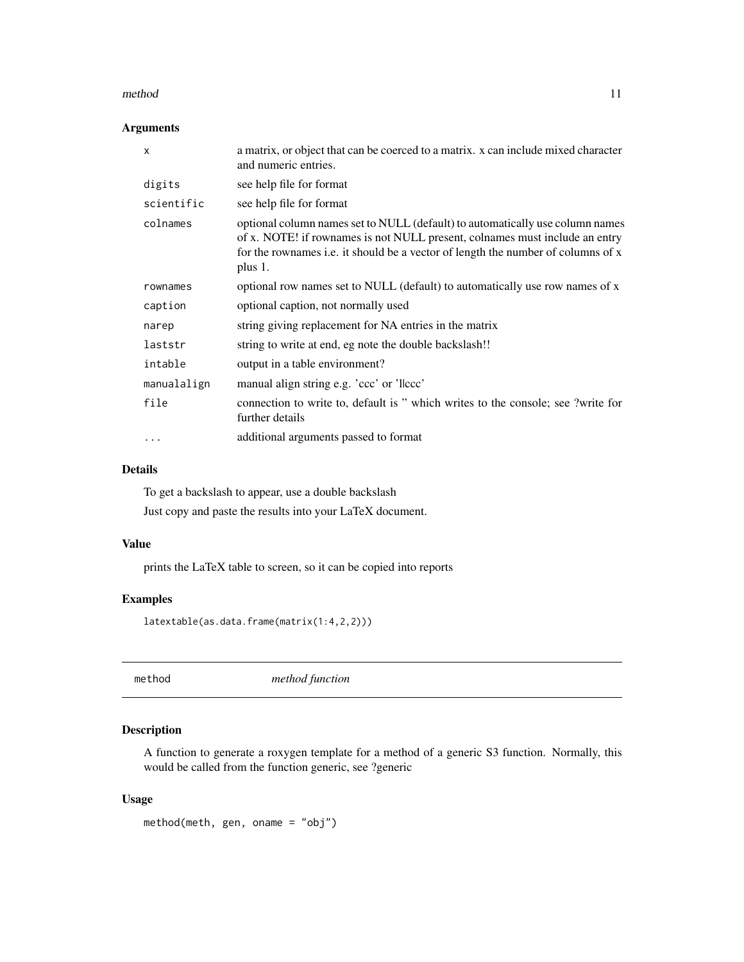#### <span id="page-10-0"></span>method 11

#### Arguments

| $\times$    | a matrix, or object that can be coerced to a matrix. x can include mixed character<br>and numeric entries.                                                                                                                                                  |
|-------------|-------------------------------------------------------------------------------------------------------------------------------------------------------------------------------------------------------------------------------------------------------------|
| digits      | see help file for format                                                                                                                                                                                                                                    |
| scientific  | see help file for format                                                                                                                                                                                                                                    |
| colnames    | optional column names set to NULL (default) to automatically use column names<br>of x. NOTE! if rownames is not NULL present, colnames must include an entry<br>for the rownames i.e. it should be a vector of length the number of columns of x<br>plus 1. |
| rownames    | optional row names set to NULL (default) to automatically use row names of x                                                                                                                                                                                |
| caption     | optional caption, not normally used                                                                                                                                                                                                                         |
| narep       | string giving replacement for NA entries in the matrix                                                                                                                                                                                                      |
| laststr     | string to write at end, eg note the double backslash!!                                                                                                                                                                                                      |
| intable     | output in a table environment?                                                                                                                                                                                                                              |
| manualalign | manual align string e.g. 'ccc' or 'llccc'                                                                                                                                                                                                                   |
| file        | connection to write to, default is " which writes to the console; see ?write for<br>further details                                                                                                                                                         |
| $\cdot$     | additional arguments passed to format                                                                                                                                                                                                                       |

# Details

To get a backslash to appear, use a double backslash

Just copy and paste the results into your LaTeX document.

#### Value

prints the LaTeX table to screen, so it can be copied into reports

# Examples

latextable(as.data.frame(matrix(1:4,2,2)))

method *method function*

# Description

A function to generate a roxygen template for a method of a generic S3 function. Normally, this would be called from the function generic, see ?generic

# Usage

method(meth, gen, oname = "obj")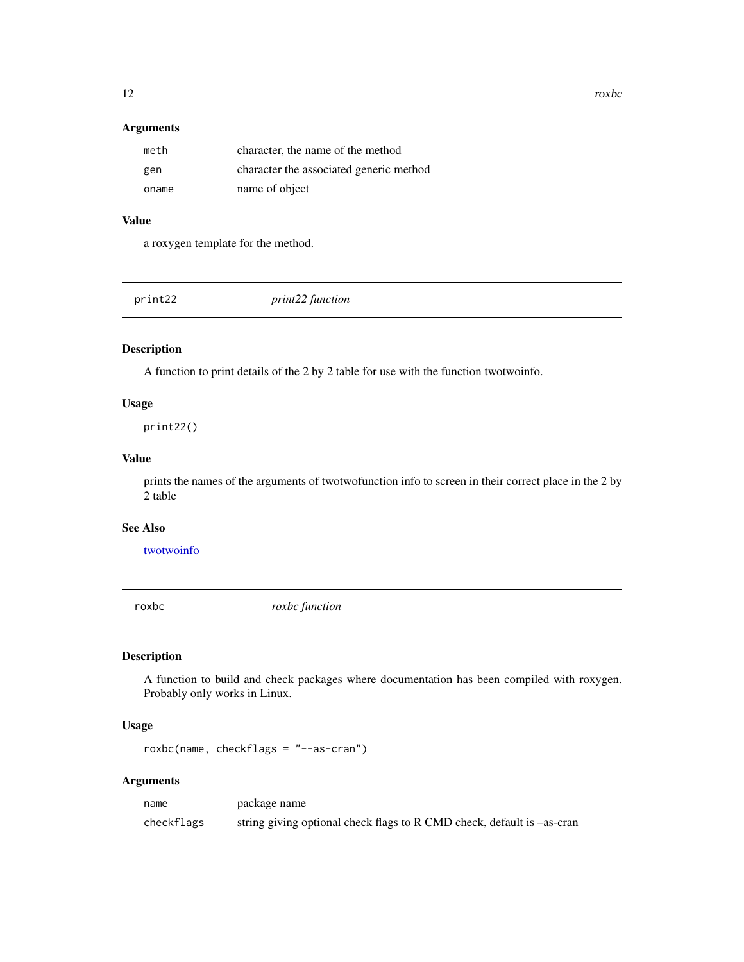#### Arguments

| meth  | character, the name of the method       |
|-------|-----------------------------------------|
| gen   | character the associated generic method |
| oname | name of object                          |

# Value

a roxygen template for the method.

<span id="page-11-1"></span>print22 *print22 function*

# Description

A function to print details of the 2 by 2 table for use with the function twotwoinfo.

#### Usage

print22()

#### Value

prints the names of the arguments of twotwofunction info to screen in their correct place in the 2 by 2 table

#### See Also

[twotwoinfo](#page-13-1)

roxbc *roxbc function*

#### Description

A function to build and check packages where documentation has been compiled with roxygen. Probably only works in Linux.

# Usage

roxbc(name, checkflags = "--as-cran")

# Arguments

name package name checkflags string giving optional check flags to R CMD check, default is –as-cran

<span id="page-11-0"></span>12 roxbc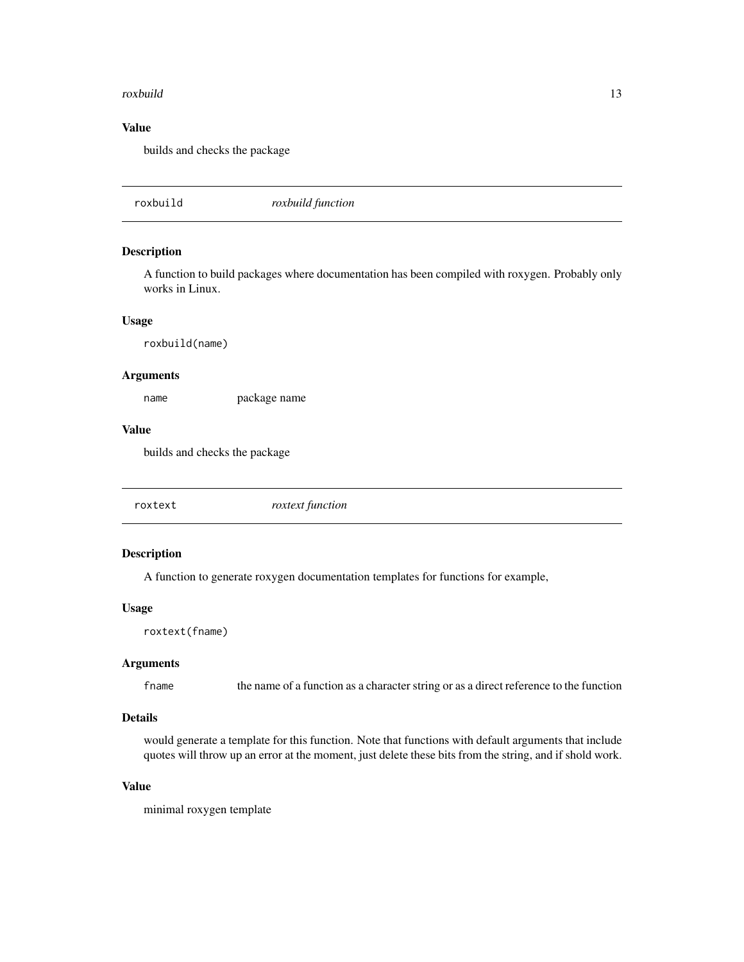#### <span id="page-12-0"></span>roxbuild and the contract of the contract of the contract of the contract of the contract of the contract of the contract of the contract of the contract of the contract of the contract of the contract of the contract of t

# Value

builds and checks the package

roxbuild *roxbuild function*

# Description

A function to build packages where documentation has been compiled with roxygen. Probably only works in Linux.

#### Usage

roxbuild(name)

#### Arguments

name package name

#### Value

builds and checks the package

| roxtext function<br>roxtext |
|-----------------------------|
|-----------------------------|

# Description

A function to generate roxygen documentation templates for functions for example,

#### Usage

roxtext(fname)

#### Arguments

fname the name of a function as a character string or as a direct reference to the function

# Details

would generate a template for this function. Note that functions with default arguments that include quotes will throw up an error at the moment, just delete these bits from the string, and if shold work.

#### Value

minimal roxygen template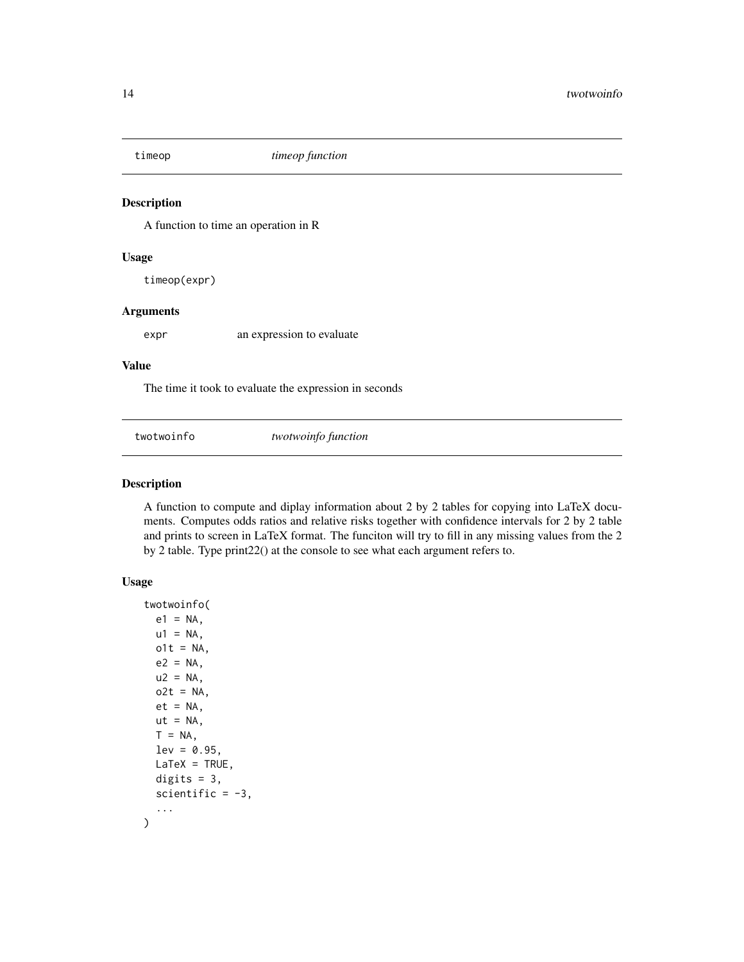<span id="page-13-0"></span>

A function to time an operation in R

#### Usage

timeop(expr)

#### Arguments

expr an expression to evaluate

#### Value

The time it took to evaluate the expression in seconds

<span id="page-13-1"></span>twotwoinfo *twotwoinfo function*

#### Description

A function to compute and diplay information about 2 by 2 tables for copying into LaTeX documents. Computes odds ratios and relative risks together with confidence intervals for 2 by 2 table and prints to screen in LaTeX format. The funciton will try to fill in any missing values from the 2 by 2 table. Type print22() at the console to see what each argument refers to.

# Usage

```
twotwoinfo(
  e1 = NA,
 u1 = NA,
  o1t = NA,
  e2 = NA,
  u2 = NA,
  o2t = NA,
  et = NA,
  ut = NA,
  T = NA,
  lev = 0.95,
 LaTeX = TRUE,digits = 3,
  scientific = -3,
  ...
\mathcal{E}
```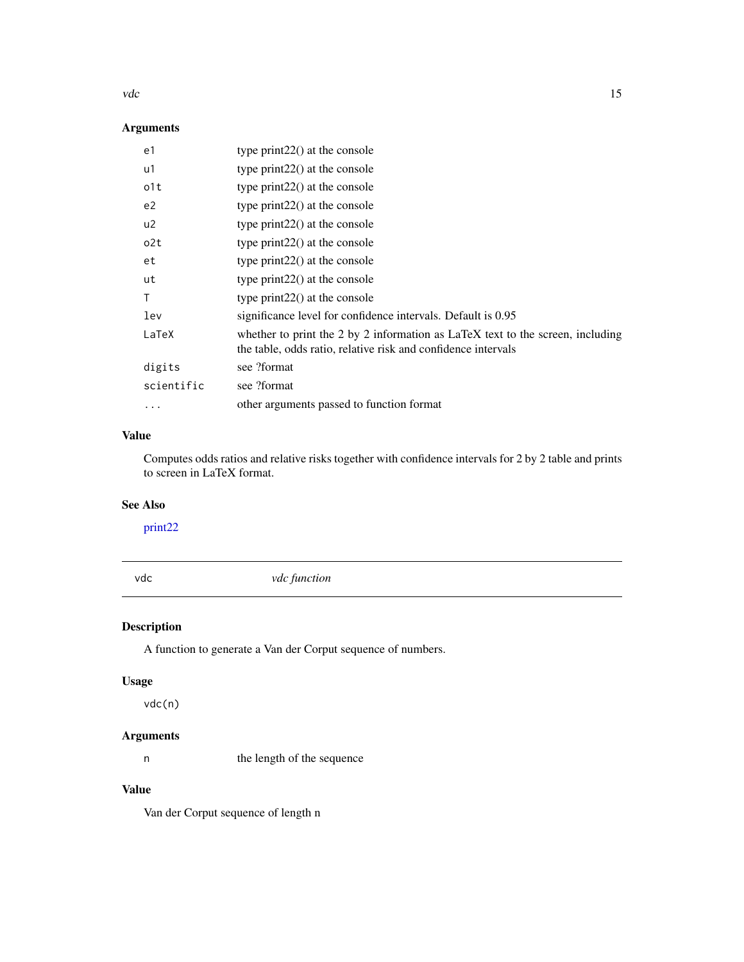#### <span id="page-14-0"></span>vdc 15

# Arguments

| type print $22()$ at the console                                                                                                                |
|-------------------------------------------------------------------------------------------------------------------------------------------------|
| type $print22()$ at the console                                                                                                                 |
| type $print22()$ at the console                                                                                                                 |
| type $print22()$ at the console                                                                                                                 |
| type print $22()$ at the console                                                                                                                |
| type $print22()$ at the console                                                                                                                 |
| type print $22()$ at the console                                                                                                                |
| type $print22()$ at the console                                                                                                                 |
| type $print22()$ at the console                                                                                                                 |
| significance level for confidence intervals. Default is 0.95                                                                                    |
| whether to print the 2 by 2 information as LaTeX text to the screen, including<br>the table, odds ratio, relative risk and confidence intervals |
| see ?format                                                                                                                                     |
| see ?format                                                                                                                                     |
| other arguments passed to function format                                                                                                       |
|                                                                                                                                                 |

# Value

Computes odds ratios and relative risks together with confidence intervals for 2 by 2 table and prints to screen in LaTeX format.

#### See Also

[print22](#page-11-1)

vdc *vdc function*

# Description

A function to generate a Van der Corput sequence of numbers.

# Usage

vdc(n)

# Arguments

n the length of the sequence

# Value

Van der Corput sequence of length n